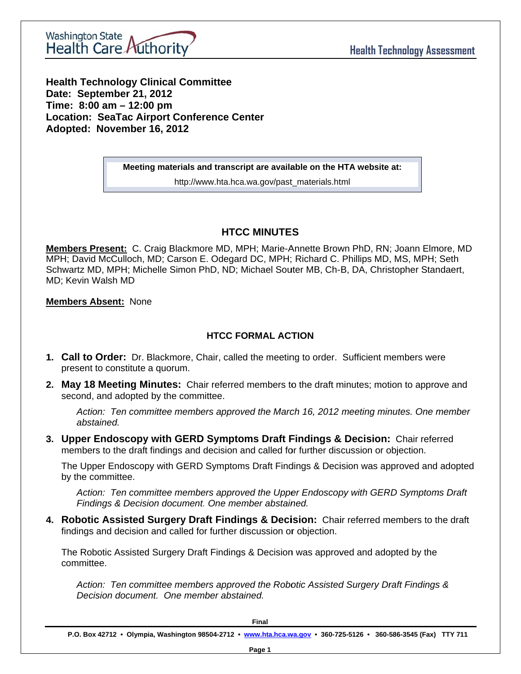

**Health Technology Clinical Committee** Date: September 21, 2012 Time: 8:00 am - 12:00 pm **Location: SeaTac Airport Conference Center** Adopted: November 16, 2012

Meeting materials and transcript are available on the HTA website at:

http://www.hta.hca.wa.gov/past\_materials.html

## **HTCC MINUTES**

Members Present: C. Craig Blackmore MD, MPH; Marie-Annette Brown PhD, RN; Joann Elmore, MD MPH; David McCulloch, MD; Carson E. Odegard DC, MPH; Richard C. Phillips MD, MS, MPH; Seth Schwartz MD, MPH; Michelle Simon PhD, ND; Michael Souter MB, Ch-B, DA, Christopher Standaert, MD: Kevin Walsh MD

### **Members Absent: None**

## **HTCC FORMAL ACTION**

- 1. Call to Order: Dr. Blackmore, Chair, called the meeting to order. Sufficient members were present to constitute a quorum.
- 2. May 18 Meeting Minutes: Chair referred members to the draft minutes; motion to approve and second, and adopted by the committee.

Action: Ten committee members approved the March 16, 2012 meeting minutes. One member abstained.

3. Upper Endoscopy with GERD Symptoms Draft Findings & Decision: Chair referred members to the draft findings and decision and called for further discussion or objection.

The Upper Endoscopy with GERD Symptoms Draft Findings & Decision was approved and adopted by the committee.

Action: Ten committee members approved the Upper Endoscopy with GERD Symptoms Draft Findings & Decision document. One member abstained.

4. Robotic Assisted Surgery Draft Findings & Decision: Chair referred members to the draft findings and decision and called for further discussion or objection.

The Robotic Assisted Surgery Draft Findings & Decision was approved and adopted by the committee.

Action: Ten committee members approved the Robotic Assisted Surgery Draft Findings & Decision document. One member abstained.

Final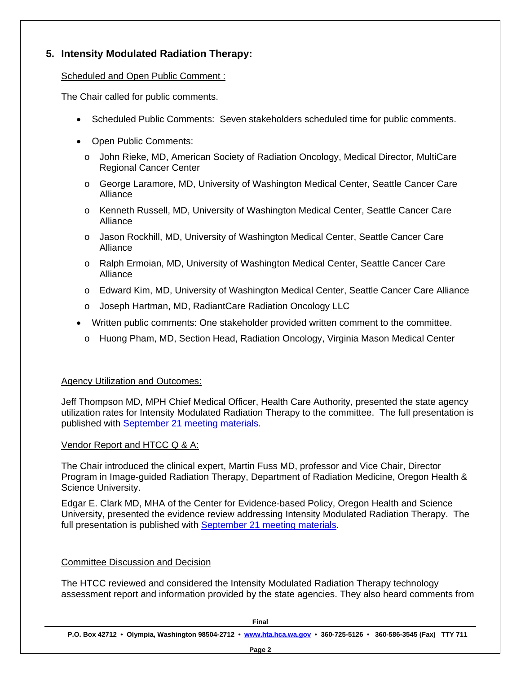# **5. Intensity Modulated Radiation Therapy:**

#### Scheduled and Open Public Comment :

The Chair called for public comments.

- Scheduled Public Comments: Seven stakeholders scheduled time for public comments.
- Open Public Comments:
	- o John Rieke, MD, American Society of Radiation Oncology, Medical Director, MultiCare Regional Cancer Center
	- o George Laramore, MD, University of Washington Medical Center, Seattle Cancer Care Alliance
	- o Kenneth Russell, MD, University of Washington Medical Center, Seattle Cancer Care Alliance
	- o Jason Rockhill, MD, University of Washington Medical Center, Seattle Cancer Care Alliance
	- o Ralph Ermoian, MD, University of Washington Medical Center, Seattle Cancer Care Alliance
	- o Edward Kim, MD, University of Washington Medical Center, Seattle Cancer Care Alliance
	- o Joseph Hartman, MD, RadiantCare Radiation Oncology LLC
- Written public comments: One stakeholder provided written comment to the committee.
	- o Huong Pham, MD, Section Head, Radiation Oncology, Virginia Mason Medical Center

## Agency Utilization and Outcomes:

Jeff Thompson MD, MPH Chief Medical Officer, Health Care Authority, presented the state agency utilization rates for Intensity Modulated Radiation Therapy to the committee. The full presentation is published with September 21 meeting materials.

#### Vendor Report and HTCC Q & A:

The Chair introduced the clinical expert, Martin Fuss MD, professor and Vice Chair, Director Program in Image-guided Radiation Therapy, Department of Radiation Medicine, Oregon Health & Science University.

Edgar E. Clark MD, MHA of the Center for Evidence-based Policy, Oregon Health and Science University, presented the evidence review addressing Intensity Modulated Radiation Therapy. The full presentation is published with September 21 meeting materials.

#### Committee Discussion and Decision

The HTCC reviewed and considered the Intensity Modulated Radiation Therapy technology assessment report and information provided by the state agencies. They also heard comments from